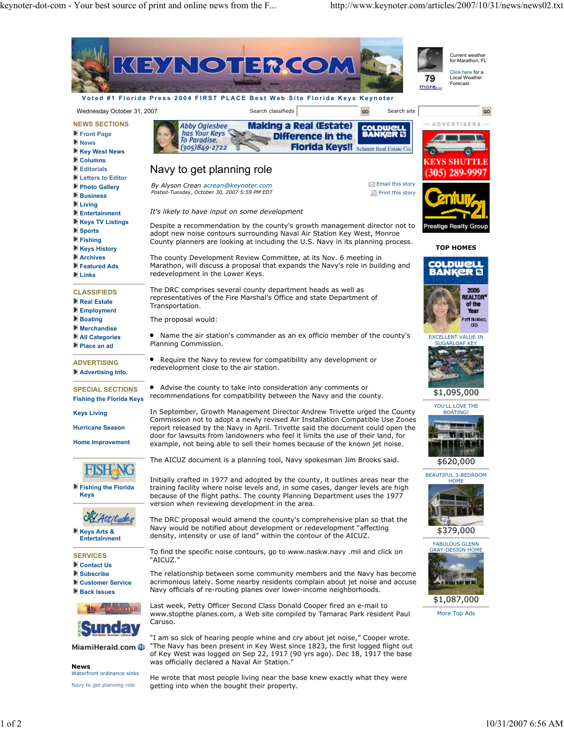